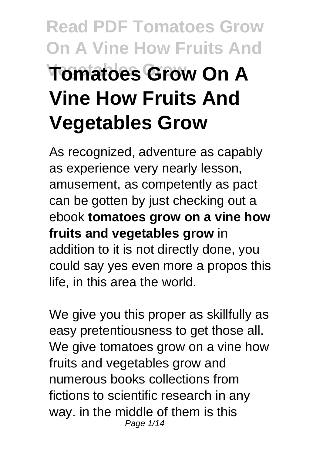# **Read PDF Tomatoes Grow On A Vine How Fruits And Vegetables Grow Tomatoes Grow On A Vine How Fruits And Vegetables Grow**

As recognized, adventure as capably as experience very nearly lesson, amusement, as competently as pact can be gotten by just checking out a ebook **tomatoes grow on a vine how fruits and vegetables grow** in addition to it is not directly done, you could say yes even more a propos this life, in this area the world.

We give you this proper as skillfully as easy pretentiousness to get those all. We give tomatoes grow on a vine how fruits and vegetables grow and numerous books collections from fictions to scientific research in any way. in the middle of them is this Page 1/14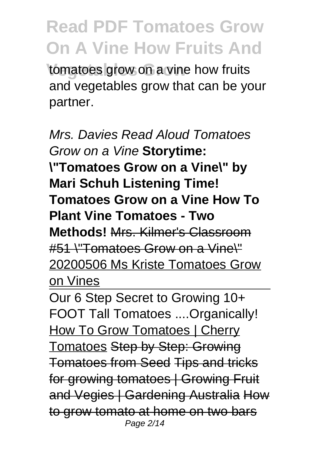tomatoes grow on a vine how fruits and vegetables grow that can be your partner.

Mrs. Davies Read Aloud Tomatoes Grow on a Vine **Storytime: \"Tomatoes Grow on a Vine\" by Mari Schuh Listening Time! Tomatoes Grow on a Vine How To Plant Vine Tomatoes - Two Methods!** Mrs. Kilmer's Classroom #51 \"Tomatoes Grow on a Vine\" 20200506 Ms Kriste Tomatoes Grow on Vines

Our 6 Step Secret to Growing 10+ FOOT Tall Tomatoes ....Organically! How To Grow Tomatoes | Cherry Tomatoes Step by Step: Growing Tomatoes from Seed Tips and tricks for growing tomatoes | Growing Fruit and Vegies | Gardening Australia How to grow tomato at home on two bars Page 2/14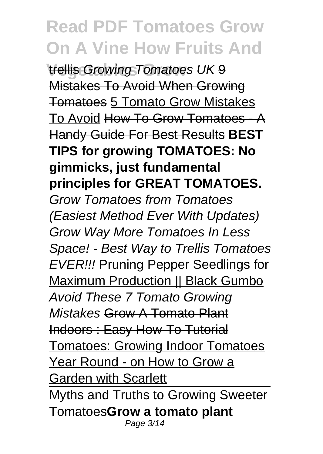*Vellis Growing Tomatoes UK 9* Mistakes To Avoid When Growing Tomatoes 5 Tomato Grow Mistakes To Avoid How To Grow Tomatoes - A Handy Guide For Best Results **BEST TIPS for growing TOMATOES: No gimmicks, just fundamental principles for GREAT TOMATOES.** Grow Tomatoes from Tomatoes (Easiest Method Ever With Updates) Grow Way More Tomatoes In Less Space! - Best Way to Trellis Tomatoes EVER!!! Pruning Pepper Seedlings for **Maximum Production || Black Gumbo** Avoid These 7 Tomato Growing Mistakes Grow A Tomato Plant Indoors : Easy How-To Tutorial Tomatoes: Growing Indoor Tomatoes Year Round - on How to Grow a Garden with Scarlett Myths and Truths to Growing Sweeter Tomatoes**Grow a tomato plant** Page 3/14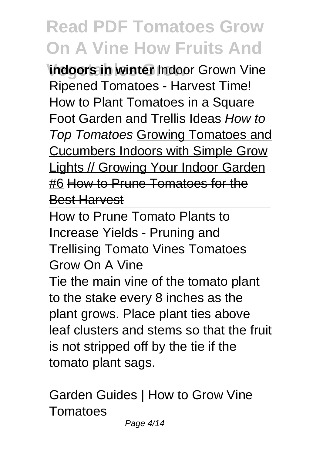**Vindoors in winter Indoor Grown Vine** Ripened Tomatoes - Harvest Time! How to Plant Tomatoes in a Square Foot Garden and Trellis Ideas How to Top Tomatoes Growing Tomatoes and Cucumbers Indoors with Simple Grow Lights // Growing Your Indoor Garden #6 How to Prune Tomatoes for the Best Harvest

How to Prune Tomato Plants to Increase Yields - Pruning and Trellising Tomato Vines Tomatoes Grow On A Vine

Tie the main vine of the tomato plant to the stake every 8 inches as the plant grows. Place plant ties above leaf clusters and stems so that the fruit is not stripped off by the tie if the tomato plant sags.

Garden Guides | How to Grow Vine **Tomatoes**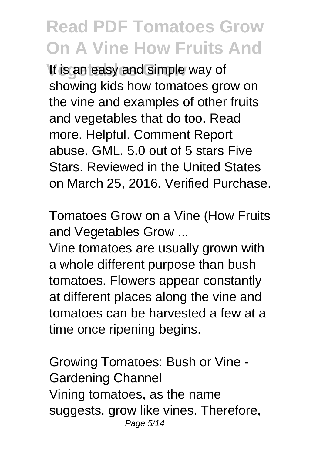It is an easy and simple way of showing kids how tomatoes grow on the vine and examples of other fruits and vegetables that do too. Read more. Helpful. Comment Report abuse. GML. 5.0 out of 5 stars Five Stars. Reviewed in the United States on March 25, 2016. Verified Purchase.

Tomatoes Grow on a Vine (How Fruits and Vegetables Grow ...

Vine tomatoes are usually grown with a whole different purpose than bush tomatoes. Flowers appear constantly at different places along the vine and tomatoes can be harvested a few at a time once ripening begins.

Growing Tomatoes: Bush or Vine - Gardening Channel Vining tomatoes, as the name suggests, grow like vines. Therefore, Page 5/14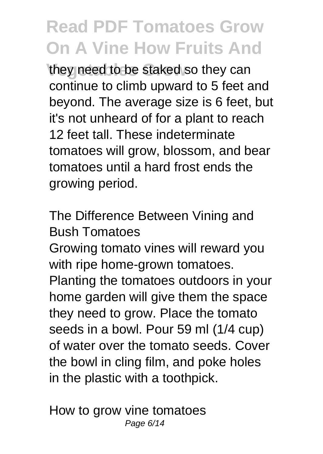they need to be staked so they can continue to climb upward to 5 feet and beyond. The average size is 6 feet, but it's not unheard of for a plant to reach 12 feet tall. These indeterminate tomatoes will grow, blossom, and bear tomatoes until a hard frost ends the growing period.

The Difference Between Vining and Bush Tomatoes

Growing tomato vines will reward you with ripe home-grown tomatoes. Planting the tomatoes outdoors in your home garden will give them the space they need to grow. Place the tomato seeds in a bowl. Pour 59 ml (1/4 cup) of water over the tomato seeds. Cover the bowl in cling film, and poke holes in the plastic with a toothpick.

How to grow vine tomatoes Page 6/14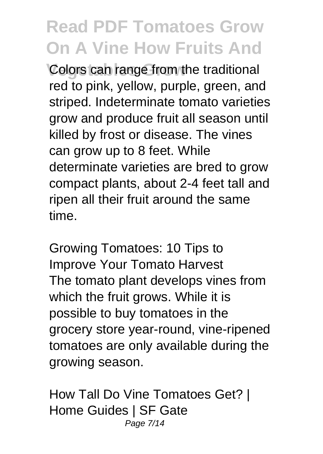**Colors can range from the traditional** red to pink, yellow, purple, green, and striped. Indeterminate tomato varieties grow and produce fruit all season until killed by frost or disease. The vines can grow up to 8 feet. While determinate varieties are bred to grow compact plants, about 2-4 feet tall and ripen all their fruit around the same time.

Growing Tomatoes: 10 Tips to Improve Your Tomato Harvest The tomato plant develops vines from which the fruit grows. While it is possible to buy tomatoes in the grocery store year-round, vine-ripened tomatoes are only available during the growing season.

How Tall Do Vine Tomatoes Get? | Home Guides | SF Gate Page 7/14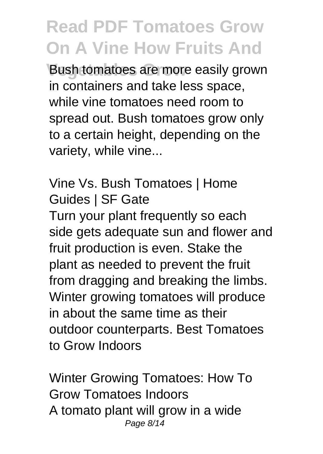**Bush tomatoes are more easily grown** in containers and take less space, while vine tomatoes need room to spread out. Bush tomatoes grow only to a certain height, depending on the variety, while vine...

Vine Vs. Bush Tomatoes | Home Guides | SF Gate Turn your plant frequently so each side gets adequate sun and flower and fruit production is even. Stake the plant as needed to prevent the fruit

from dragging and breaking the limbs. Winter growing tomatoes will produce in about the same time as their outdoor counterparts. Best Tomatoes to Grow Indoors

Winter Growing Tomatoes: How To Grow Tomatoes Indoors A tomato plant will grow in a wide Page 8/14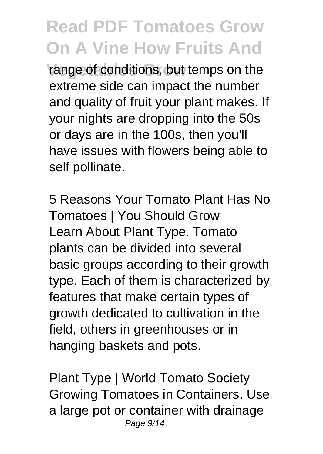range of conditions, but temps on the extreme side can impact the number and quality of fruit your plant makes. If your nights are dropping into the 50s or days are in the 100s, then you'll have issues with flowers being able to self pollinate.

5 Reasons Your Tomato Plant Has No Tomatoes | You Should Grow Learn About Plant Type. Tomato plants can be divided into several basic groups according to their growth type. Each of them is characterized by features that make certain types of growth dedicated to cultivation in the field, others in greenhouses or in hanging baskets and pots.

Plant Type | World Tomato Society Growing Tomatoes in Containers. Use a large pot or container with drainage Page 9/14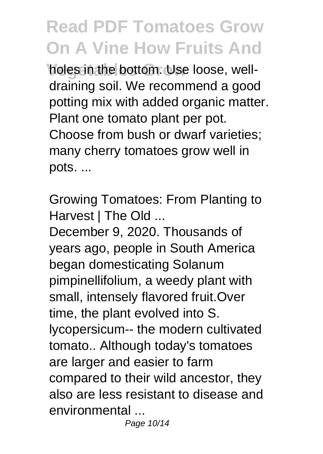**holes in the bottom. Use loose, well**draining soil. We recommend a good potting mix with added organic matter. Plant one tomato plant per pot. Choose from bush or dwarf varieties; many cherry tomatoes grow well in pots. ...

Growing Tomatoes: From Planting to Harvest | The Old ...

December 9, 2020. Thousands of years ago, people in South America began domesticating Solanum pimpinellifolium, a weedy plant with small, intensely flavored fruit.Over time, the plant evolved into S. lycopersicum-- the modern cultivated tomato.. Although today's tomatoes are larger and easier to farm compared to their wild ancestor, they also are less resistant to disease and environmental ...

Page 10/14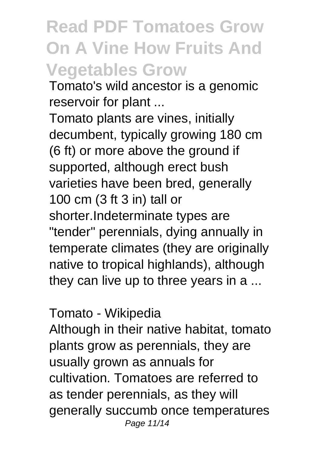#### **Read PDF Tomatoes Grow On A Vine How Fruits And Vegetables Grow**

Tomato's wild ancestor is a genomic reservoir for plant ...

Tomato plants are vines, initially decumbent, typically growing 180 cm (6 ft) or more above the ground if supported, although erect bush varieties have been bred, generally 100 cm (3 ft 3 in) tall or shorter.Indeterminate types are "tender" perennials, dying annually in temperate climates (they are originally native to tropical highlands), although they can live up to three years in a ...

#### Tomato - Wikipedia

Although in their native habitat, tomato plants grow as perennials, they are usually grown as annuals for cultivation. Tomatoes are referred to as tender perennials, as they will generally succumb once temperatures Page 11/14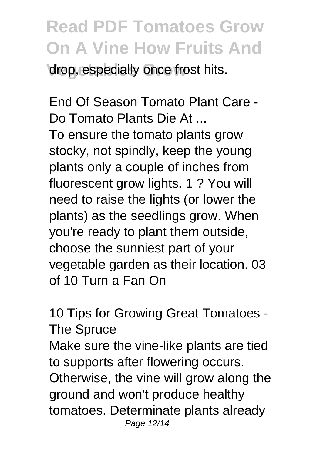drop, especially once frost hits.

End Of Season Tomato Plant Care - Do Tomato Plants Die At ...

To ensure the tomato plants grow stocky, not spindly, keep the young plants only a couple of inches from fluorescent grow lights. 1 ? You will need to raise the lights (or lower the plants) as the seedlings grow. When you're ready to plant them outside, choose the sunniest part of your vegetable garden as their location. 03 of 10 Turn a Fan On

10 Tips for Growing Great Tomatoes - The Spruce Make sure the vine-like plants are tied to supports after flowering occurs. Otherwise, the vine will grow along the ground and won't produce healthy tomatoes. Determinate plants already Page 12/14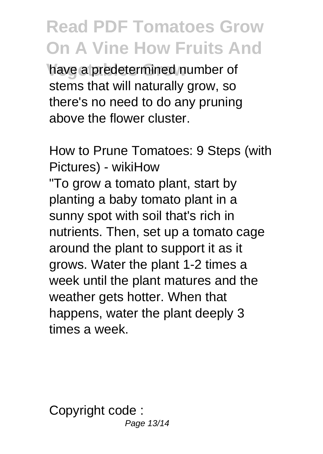have a predetermined number of stems that will naturally grow, so there's no need to do any pruning above the flower cluster.

How to Prune Tomatoes: 9 Steps (with Pictures) - wikiHow

"To grow a tomato plant, start by planting a baby tomato plant in a sunny spot with soil that's rich in nutrients. Then, set up a tomato cage around the plant to support it as it grows. Water the plant 1-2 times a week until the plant matures and the weather gets hotter. When that happens, water the plant deeply 3 times a week.

Copyright code : Page 13/14